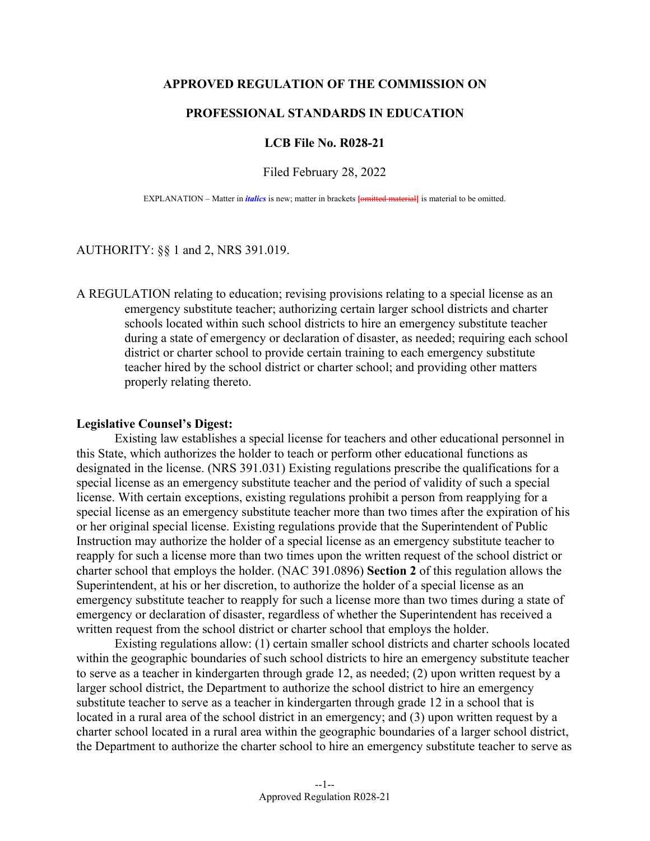## **APPROVED REGULATION OF THE COMMISSION ON**

# **PROFESSIONAL STANDARDS IN EDUCATION**

## **LCB File No. R028-21**

Filed February 28, 2022

EXPLANATION – Matter in *italics* is new; matter in brackets [omitted material] is material to be omitted.

#### AUTHORITY: §§ 1 and 2, NRS 391.019.

A REGULATION relating to education; revising provisions relating to a special license as an emergency substitute teacher; authorizing certain larger school districts and charter schools located within such school districts to hire an emergency substitute teacher during a state of emergency or declaration of disaster, as needed; requiring each school district or charter school to provide certain training to each emergency substitute teacher hired by the school district or charter school; and providing other matters properly relating thereto.

#### **Legislative Counsel's Digest:**

Existing law establishes a special license for teachers and other educational personnel in this State, which authorizes the holder to teach or perform other educational functions as designated in the license. (NRS 391.031) Existing regulations prescribe the qualifications for a special license as an emergency substitute teacher and the period of validity of such a special license. With certain exceptions, existing regulations prohibit a person from reapplying for a special license as an emergency substitute teacher more than two times after the expiration of his or her original special license. Existing regulations provide that the Superintendent of Public Instruction may authorize the holder of a special license as an emergency substitute teacher to reapply for such a license more than two times upon the written request of the school district or charter school that employs the holder. (NAC 391.0896) **Section 2** of this regulation allows the Superintendent, at his or her discretion, to authorize the holder of a special license as an emergency substitute teacher to reapply for such a license more than two times during a state of emergency or declaration of disaster, regardless of whether the Superintendent has received a written request from the school district or charter school that employs the holder.

Existing regulations allow: (1) certain smaller school districts and charter schools located within the geographic boundaries of such school districts to hire an emergency substitute teacher to serve as a teacher in kindergarten through grade 12, as needed; (2) upon written request by a larger school district, the Department to authorize the school district to hire an emergency substitute teacher to serve as a teacher in kindergarten through grade 12 in a school that is located in a rural area of the school district in an emergency; and (3) upon written request by a charter school located in a rural area within the geographic boundaries of a larger school district, the Department to authorize the charter school to hire an emergency substitute teacher to serve as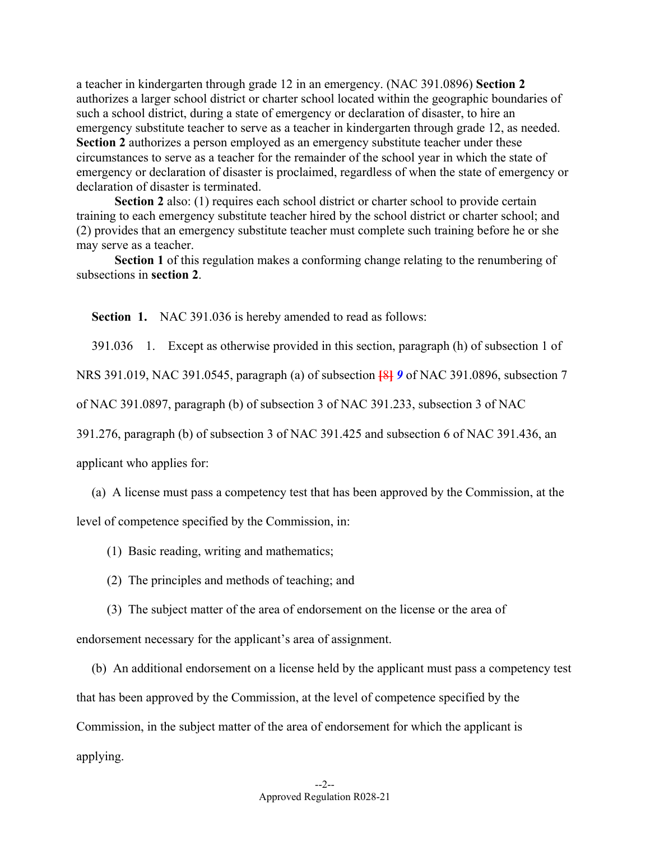a teacher in kindergarten through grade 12 in an emergency. (NAC 391.0896) **Section 2** authorizes a larger school district or charter school located within the geographic boundaries of such a school district, during a state of emergency or declaration of disaster, to hire an emergency substitute teacher to serve as a teacher in kindergarten through grade 12, as needed. **Section 2** authorizes a person employed as an emergency substitute teacher under these circumstances to serve as a teacher for the remainder of the school year in which the state of emergency or declaration of disaster is proclaimed, regardless of when the state of emergency or declaration of disaster is terminated.

**Section 2** also: (1) requires each school district or charter school to provide certain training to each emergency substitute teacher hired by the school district or charter school; and (2) provides that an emergency substitute teacher must complete such training before he or she may serve as a teacher.

**Section 1** of this regulation makes a conforming change relating to the renumbering of subsections in **section 2**.

**Section 1.** NAC 391.036 is hereby amended to read as follows:

391.036 1. Except as otherwise provided in this section, paragraph (h) of subsection 1 of

NRS 391.019, NAC 391.0545, paragraph (a) of subsection **[**8**]** *9* of NAC 391.0896, subsection 7

of NAC 391.0897, paragraph (b) of subsection 3 of NAC 391.233, subsection 3 of NAC

391.276, paragraph (b) of subsection 3 of NAC 391.425 and subsection 6 of NAC 391.436, an

applicant who applies for:

(a) A license must pass a competency test that has been approved by the Commission, at the

level of competence specified by the Commission, in:

(1) Basic reading, writing and mathematics;

(2) The principles and methods of teaching; and

(3) The subject matter of the area of endorsement on the license or the area of

endorsement necessary for the applicant's area of assignment.

(b) An additional endorsement on a license held by the applicant must pass a competency test that has been approved by the Commission, at the level of competence specified by the Commission, in the subject matter of the area of endorsement for which the applicant is applying.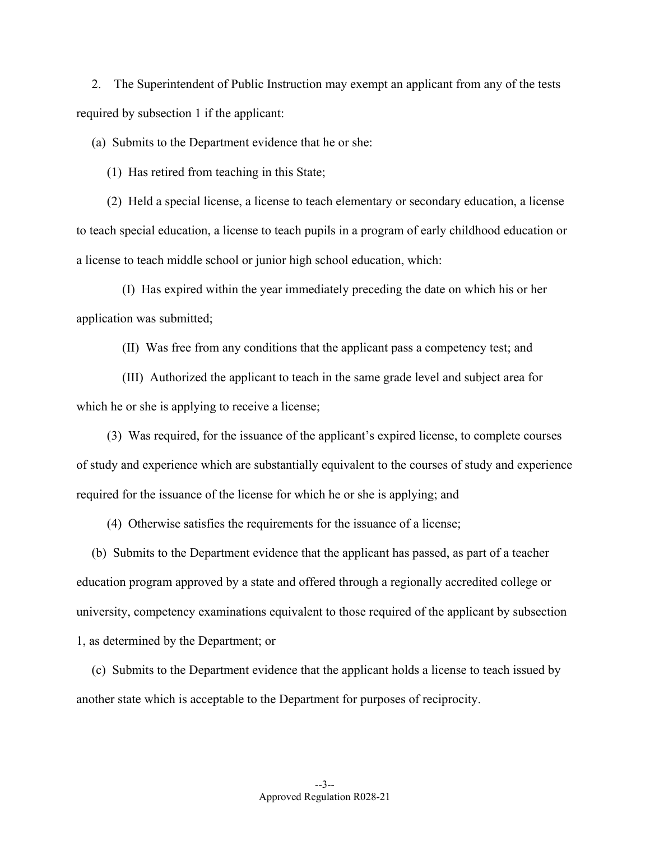2. The Superintendent of Public Instruction may exempt an applicant from any of the tests required by subsection 1 if the applicant:

(a) Submits to the Department evidence that he or she:

(1) Has retired from teaching in this State;

(2) Held a special license, a license to teach elementary or secondary education, a license to teach special education, a license to teach pupils in a program of early childhood education or a license to teach middle school or junior high school education, which:

(I) Has expired within the year immediately preceding the date on which his or her application was submitted;

(II) Was free from any conditions that the applicant pass a competency test; and

(III) Authorized the applicant to teach in the same grade level and subject area for which he or she is applying to receive a license;

(3) Was required, for the issuance of the applicant's expired license, to complete courses of study and experience which are substantially equivalent to the courses of study and experience required for the issuance of the license for which he or she is applying; and

(4) Otherwise satisfies the requirements for the issuance of a license;

(b) Submits to the Department evidence that the applicant has passed, as part of a teacher education program approved by a state and offered through a regionally accredited college or university, competency examinations equivalent to those required of the applicant by subsection 1, as determined by the Department; or

(c) Submits to the Department evidence that the applicant holds a license to teach issued by another state which is acceptable to the Department for purposes of reciprocity.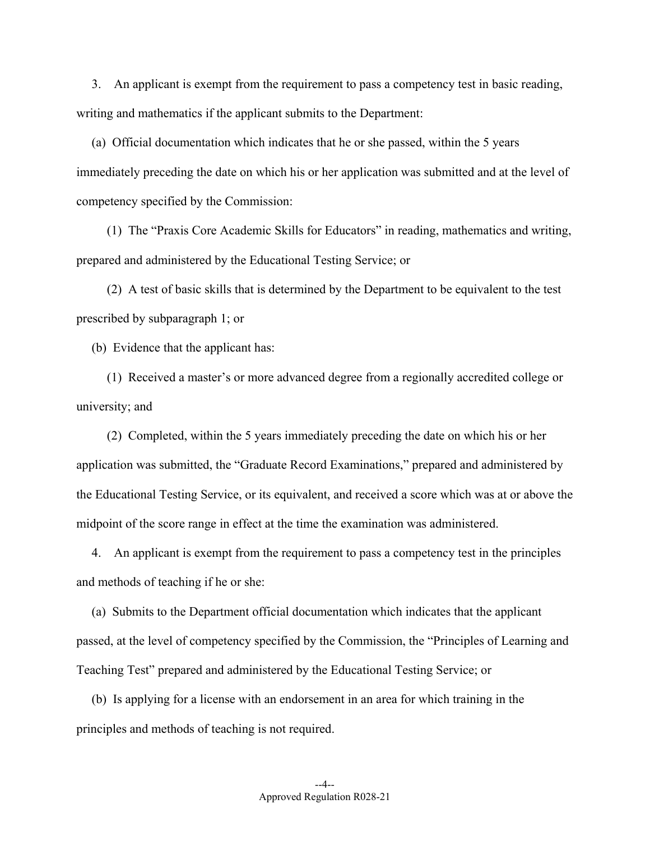3. An applicant is exempt from the requirement to pass a competency test in basic reading, writing and mathematics if the applicant submits to the Department:

(a) Official documentation which indicates that he or she passed, within the 5 years immediately preceding the date on which his or her application was submitted and at the level of competency specified by the Commission:

(1) The "Praxis Core Academic Skills for Educators" in reading, mathematics and writing, prepared and administered by the Educational Testing Service; or

(2) A test of basic skills that is determined by the Department to be equivalent to the test prescribed by subparagraph 1; or

(b) Evidence that the applicant has:

(1) Received a master's or more advanced degree from a regionally accredited college or university; and

(2) Completed, within the 5 years immediately preceding the date on which his or her application was submitted, the "Graduate Record Examinations," prepared and administered by the Educational Testing Service, or its equivalent, and received a score which was at or above the midpoint of the score range in effect at the time the examination was administered.

4. An applicant is exempt from the requirement to pass a competency test in the principles and methods of teaching if he or she:

(a) Submits to the Department official documentation which indicates that the applicant passed, at the level of competency specified by the Commission, the "Principles of Learning and Teaching Test" prepared and administered by the Educational Testing Service; or

(b) Is applying for a license with an endorsement in an area for which training in the principles and methods of teaching is not required.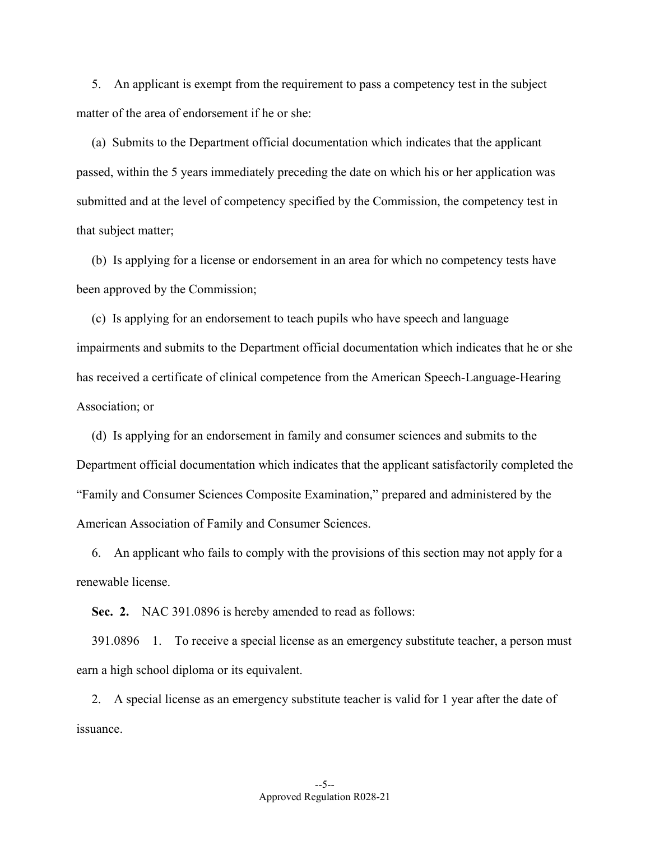5. An applicant is exempt from the requirement to pass a competency test in the subject matter of the area of endorsement if he or she:

(a) Submits to the Department official documentation which indicates that the applicant passed, within the 5 years immediately preceding the date on which his or her application was submitted and at the level of competency specified by the Commission, the competency test in that subject matter;

(b) Is applying for a license or endorsement in an area for which no competency tests have been approved by the Commission;

(c) Is applying for an endorsement to teach pupils who have speech and language impairments and submits to the Department official documentation which indicates that he or she has received a certificate of clinical competence from the American Speech-Language-Hearing Association; or

(d) Is applying for an endorsement in family and consumer sciences and submits to the Department official documentation which indicates that the applicant satisfactorily completed the "Family and Consumer Sciences Composite Examination," prepared and administered by the American Association of Family and Consumer Sciences.

6. An applicant who fails to comply with the provisions of this section may not apply for a renewable license.

**Sec. 2.** NAC 391.0896 is hereby amended to read as follows:

 391.0896 1. To receive a special license as an emergency substitute teacher, a person must earn a high school diploma or its equivalent.

2. A special license as an emergency substitute teacher is valid for 1 year after the date of issuance.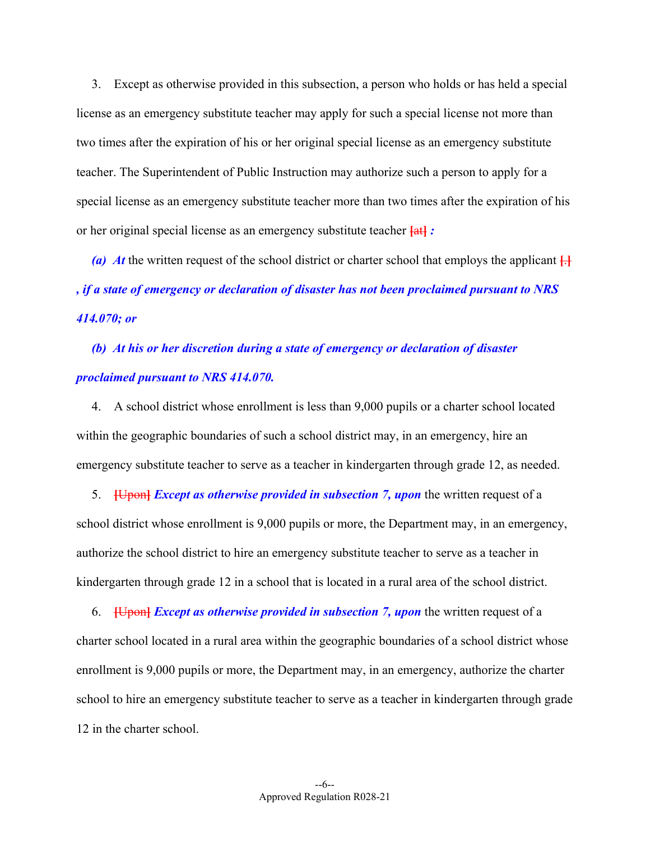3. Except as otherwise provided in this subsection, a person who holds or has held a special license as an emergency substitute teacher may apply for such a special license not more than two times after the expiration of his or her original special license as an emergency substitute teacher. The Superintendent of Public Instruction may authorize such a person to apply for a special license as an emergency substitute teacher more than two times after the expiration of his or her original special license as an emergency substitute teacher **[**at**]** *:* 

(a) At the written request of the school district or charter school that employs the applicant  $\left\{\cdot\right\}$ *, if a state of emergency or declaration of disaster has not been proclaimed pursuant to NRS 414.070; or* 

*(b) At his or her discretion during a state of emergency or declaration of disaster proclaimed pursuant to NRS 414.070.* 

4. A school district whose enrollment is less than 9,000 pupils or a charter school located within the geographic boundaries of such a school district may, in an emergency, hire an emergency substitute teacher to serve as a teacher in kindergarten through grade 12, as needed.

5. **[**Upon**]** *Except as otherwise provided in subsection 7, upon* the written request of a school district whose enrollment is 9,000 pupils or more, the Department may, in an emergency, authorize the school district to hire an emergency substitute teacher to serve as a teacher in kindergarten through grade 12 in a school that is located in a rural area of the school district.

6. **[**Upon**]** *Except as otherwise provided in subsection 7, upon* the written request of a charter school located in a rural area within the geographic boundaries of a school district whose enrollment is 9,000 pupils or more, the Department may, in an emergency, authorize the charter school to hire an emergency substitute teacher to serve as a teacher in kindergarten through grade 12 in the charter school.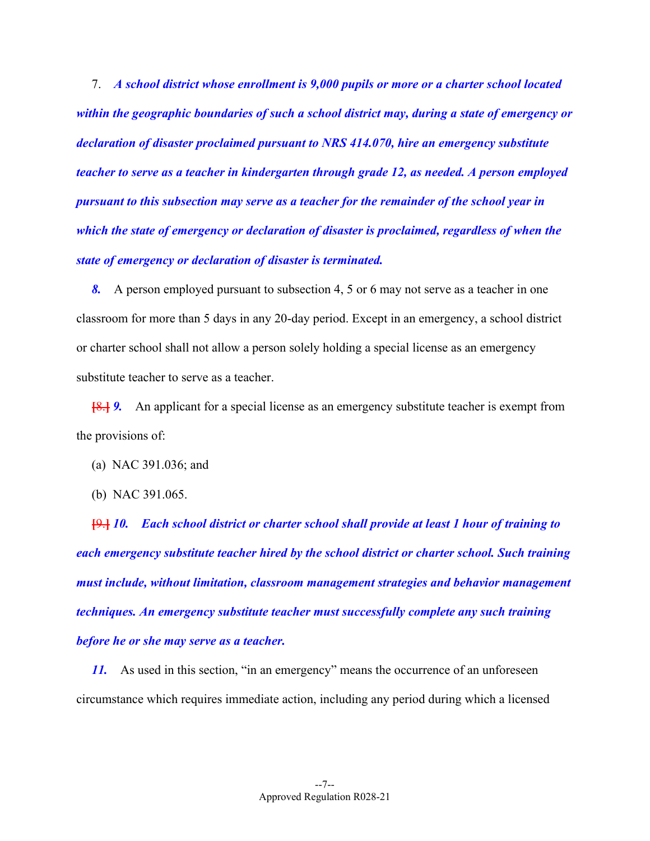7. *A school district whose enrollment is 9,000 pupils or more or a charter school located within the geographic boundaries of such a school district may, during a state of emergency or declaration of disaster proclaimed pursuant to NRS 414.070, hire an emergency substitute teacher to serve as a teacher in kindergarten through grade 12, as needed. A person employed pursuant to this subsection may serve as a teacher for the remainder of the school year in which the state of emergency or declaration of disaster is proclaimed, regardless of when the state of emergency or declaration of disaster is terminated.*

 *8.* A person employed pursuant to subsection 4, 5 or 6 may not serve as a teacher in one classroom for more than 5 days in any 20-day period. Except in an emergency, a school district or charter school shall not allow a person solely holding a special license as an emergency substitute teacher to serve as a teacher.

 **[**8.**]** *9.* An applicant for a special license as an emergency substitute teacher is exempt from the provisions of:

- (a) NAC 391.036; and
- (b) NAC 391.065.

 **[**9.**]** *10. Each school district or charter school shall provide at least 1 hour of training to each emergency substitute teacher hired by the school district or charter school. Such training must include, without limitation, classroom management strategies and behavior management techniques. An emergency substitute teacher must successfully complete any such training before he or she may serve as a teacher.* 

*11.* As used in this section, "in an emergency" means the occurrence of an unforeseen circumstance which requires immediate action, including any period during which a licensed